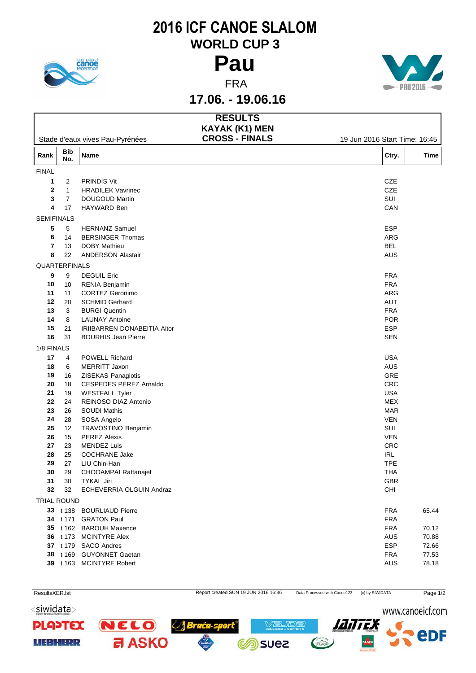

## **2016 ICF CANOE SLALOM WORLD CUP 3**



**17.06. - 19.06.16**

|                   |                   |                                    | <b>RESULTS</b>                                 |                               |             |
|-------------------|-------------------|------------------------------------|------------------------------------------------|-------------------------------|-------------|
|                   |                   | Stade d'eaux vives Pau-Pyrénées    | <b>KAYAK (K1) MEN</b><br><b>CROSS - FINALS</b> | 19 Jun 2016 Start Time: 16:45 |             |
| Rank              | <b>Bib</b><br>No. | Name                               |                                                | Ctry.                         | <b>Time</b> |
| <b>FINAL</b>      |                   |                                    |                                                |                               |             |
| 1                 | $\overline{2}$    | <b>PRINDIS Vit</b>                 |                                                | CZE                           |             |
| $\mathbf{2}$      | $\mathbf{1}$      | <b>HRADILEK Vavrinec</b>           |                                                | CZE                           |             |
| 3                 | $\overline{7}$    | DOUGOUD Martin                     |                                                | SUI                           |             |
| 4                 | 17                | HAYWARD Ben                        |                                                | CAN                           |             |
| <b>SEMIFINALS</b> |                   |                                    |                                                |                               |             |
| 5                 | 5                 | <b>HERNANZ Samuel</b>              |                                                | <b>ESP</b>                    |             |
| 6                 | 14                | <b>BERSINGER Thomas</b>            |                                                | ARG                           |             |
| 7                 | 13                | <b>DOBY Mathieu</b>                |                                                | <b>BEL</b>                    |             |
| 8                 | 22                | <b>ANDERSON Alastair</b>           |                                                | AUS                           |             |
| QUARTERFINALS     |                   |                                    |                                                |                               |             |
| 9                 | 9                 | <b>DEGUIL Eric</b>                 |                                                | <b>FRA</b>                    |             |
| 10                | 10                | RENIA Benjamin                     |                                                | <b>FRA</b>                    |             |
| 11                | 11                | <b>CORTEZ Geronimo</b>             |                                                | ARG                           |             |
| 12                | 20                | <b>SCHMID Gerhard</b>              |                                                | AUT                           |             |
| 13                | 3                 | <b>BURGI Quentin</b>               |                                                | <b>FRA</b>                    |             |
| 14                | 8                 | <b>LAUNAY Antoine</b>              |                                                | <b>POR</b>                    |             |
| 15                | 21                | IRIIBARREN DONABEITIA Aitor        |                                                | <b>ESP</b>                    |             |
| ${\bf 16}$        | 31                | <b>BOURHIS Jean Pierre</b>         |                                                | <b>SEN</b>                    |             |
| 1/8 FINALS        |                   |                                    |                                                |                               |             |
| 17                | 4                 | POWELL Richard                     |                                                | <b>USA</b>                    |             |
| 18                | 6                 | MERRITT Jaxon                      |                                                | AUS                           |             |
| 19                | 16                | ZISEKAS Panagiotis                 |                                                | GRE                           |             |
| 20                | 18                | CESPEDES PEREZ Arnaldo             |                                                | CRC                           |             |
| 21                | 19                | <b>WESTFALL Tyler</b>              |                                                | <b>USA</b>                    |             |
| 22                | 24                | REINOSO DIAZ Antonio               |                                                | <b>MEX</b>                    |             |
| 23                | 26                | <b>SOUDI Mathis</b>                |                                                | <b>MAR</b>                    |             |
| 24<br>25          | 28<br>12          | SOSA Angelo<br>TRAVOSTINO Benjamin |                                                | <b>VEN</b><br>SUI             |             |
| 26                | 15                | <b>PEREZ Alexis</b>                |                                                | <b>VEN</b>                    |             |
| 27                | 23                | <b>MENDEZ Luis</b>                 |                                                | CRC                           |             |
| 28                | 25                | <b>COCHRANE Jake</b>               |                                                | <b>IRL</b>                    |             |
| 29                | 27                | LIU Chin-Han                       |                                                | <b>TPE</b>                    |             |
| 30                | 29                | CHOOAMPAI Rattanajet               |                                                | THA                           |             |
| 31                | 30                | TYKAL Jiri                         |                                                | <b>GBR</b>                    |             |
| 32                | 32                | ECHEVERRIA OLGUIN Andraz           |                                                | CHI                           |             |
| TRIAL ROUND       |                   |                                    |                                                |                               |             |
|                   |                   | 33 t 138 BOURLIAUD Pierre          |                                                | <b>FRA</b>                    | 65.44       |
|                   |                   | 34 t 171 GRATON Paul               |                                                | <b>FRA</b>                    |             |
|                   |                   | 35 t 162 BAROUH Maxence            |                                                | <b>FRA</b>                    | 70.12       |
|                   |                   | 36 t 173 MCINTYRE Alex             |                                                | AUS                           | 70.88       |
|                   |                   | 37 t 179 SACO Andres               |                                                | ESP                           | 72.66       |
|                   |                   | 38 t 169 GUYONNET Gaetan           |                                                | <b>FRA</b>                    | 77.53       |
|                   |                   | 39 t 163 MCINTYRE Robert           |                                                | AUS                           | 78.18       |
|                   |                   |                                    |                                                |                               |             |